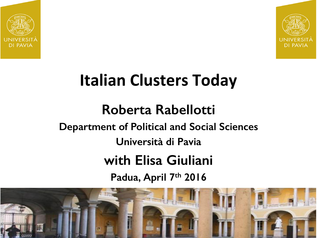



## **Italian Clusters Today**

#### **Roberta Rabellotti Department of Political and Social Sciences Università di Pavia with Elisa Giuliani Padua, April 7th 2016**

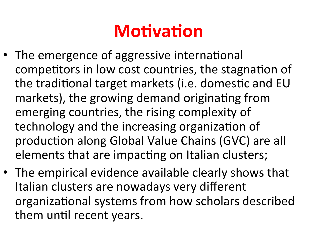## **Motivation**

- The emergence of aggressive international competitors in low cost countries, the stagnation of the traditional target markets (i.e. domestic and EU markets), the growing demand originating from emerging countries, the rising complexity of technology and the increasing organization of production along Global Value Chains (GVC) are all elements that are impacting on Italian clusters;
- The empirical evidence available clearly shows that Italian clusters are nowadays very different organizational systems from how scholars described them until recent years.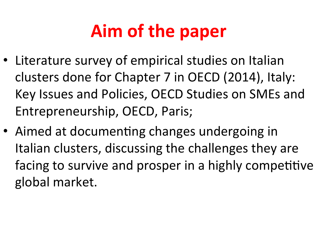# **Aim of the paper**

- Literature survey of empirical studies on Italian clusters done for Chapter 7 in OECD (2014), Italy: Key Issues and Policies, OECD Studies on SMEs and Entrepreneurship, OECD, Paris;
- Aimed at documenting changes undergoing in Italian clusters, discussing the challenges they are facing to survive and prosper in a highly competitive global market.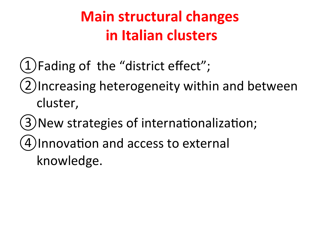### **Main structural changes in Italian clusters**

- $(1)$ Fading of the "district effect";
- (2)Increasing heterogeneity within and between cluster,
- (3) New strategies of internationalization;
- (4) Innovation and access to external
	- knowledge.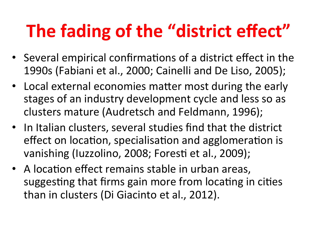# **The fading of the "district effect"**

- Several empirical confirmations of a district effect in the 1990s (Fabiani et al., 2000; Cainelli and De Liso, 2005);
- Local external economies matter most during the early stages of an industry development cycle and less so as clusters mature (Audretsch and Feldmann, 1996);
- In Italian clusters, several studies find that the district effect on location, specialisation and agglomeration is vanishing (Iuzzolino, 2008; Foresti et al., 2009);
- A location effect remains stable in urban areas, suggesting that firms gain more from locating in cities than in clusters (Di Giacinto et al., 2012).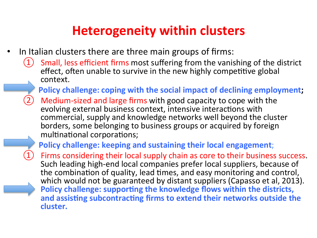#### **Heterogeneity within clusters**

- In Italian clusters there are three main groups of firms:
	- Small, less efficient firms most suffering from the vanishing of the district effect, often unable to survive in the new highly competitive global context.
		- **Policy challenge: coping with the social impact of declining employment;**
	- Medium-sized and large firms with good capacity to cope with the evolving external business context, intensive interactions with commercial, supply and knowledge networks well beyond the cluster borders, some belonging to business groups or acquired by foreign multinational corporations;

**Policy challenge: keeping and sustaining their local engagement;** 

Firms considering their local supply chain as core to their business success.<br>Such leading high-end local companies prefer local suppliers, because of the combination of quality, lead times, and easy monitoring and control, which would not be guaranteed by distant suppliers (Capasso et al, 2013). **Policy challenge: supporting the knowledge flows within the districts,** and assisting subcontracting firms to extend their networks outside the **cluster.**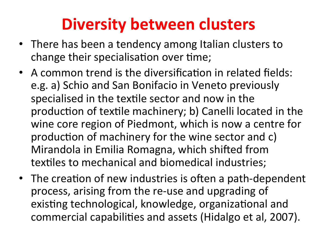## **Diversity between clusters**

- There has been a tendency among Italian clusters to change their specialisation over time;
- A common trend is the diversification in related fields: e.g. a) Schio and San Bonifacio in Veneto previously specialised in the textile sector and now in the production of textile machinery; b) Canelli located in the wine core region of Piedmont, which is now a centre for production of machinery for the wine sector and c) Mirandola in Emilia Romagna, which shifted from textiles to mechanical and biomedical industries;
- The creation of new industries is often a path-dependent process, arising from the re-use and upgrading of existing technological, knowledge, organizational and commercial capabilities and assets (Hidalgo et al, 2007).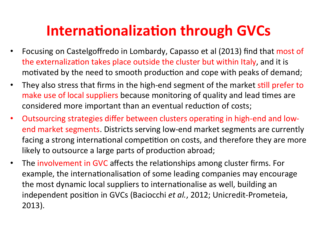#### **Internationalization through GVCs**

- Focusing on Castelgoffredo in Lombardy, Capasso et al (2013) find that most of the externalization takes place outside the cluster but within Italy, and it is motivated by the need to smooth production and cope with peaks of demand;
- They also stress that firms in the high-end segment of the market still prefer to make use of local suppliers because monitoring of quality and lead times are considered more important than an eventual reduction of costs;
- Outsourcing strategies differ between clusters operating in high-end and lowend market segments. Districts serving low-end market segments are currently facing a strong international competition on costs, and therefore they are more likely to outsource a large parts of production abroad;
- The involvement in GVC affects the relationships among cluster firms. For example, the internationalisation of some leading companies may encourage the most dynamic local suppliers to internationalise as well, building an independent position in GVCs (Baciocchi *et al.*, 2012; Unicredit-Prometeia, 2013).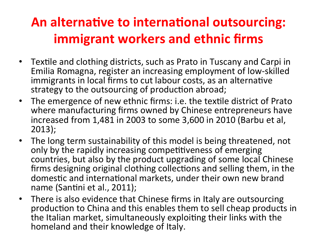#### An alternative to international outsourcing: **immigrant workers and ethnic firms**

- Textile and clothing districts, such as Prato in Tuscany and Carpi in Emilia Romagna, register an increasing employment of low-skilled immigrants in local firms to cut labour costs, as an alternative strategy to the outsourcing of production abroad;
- The emergence of new ethnic firms: i.e. the textile district of Prato where manufacturing firms owned by Chinese entrepreneurs have increased from 1,481 in 2003 to some 3,600 in 2010 (Barbu et al, 2013);
- The long term sustainability of this model is being threatened, not only by the rapidly increasing competitiveness of emerging countries, but also by the product upgrading of some local Chinese firms designing original clothing collections and selling them, in the domestic and international markets, under their own new brand name (Santini et al., 2011);
- There is also evidence that Chinese firms in Italy are outsourcing production to China and this enables them to sell cheap products in the Italian market, simultaneously exploiting their links with the homeland and their knowledge of Italy.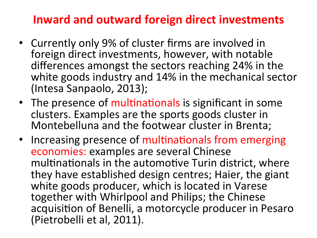#### **Inward and outward foreign direct investments**

- Currently only 9% of cluster firms are involved in foreign direct investments, however, with notable differences amongst the sectors reaching 24% in the white goods industry and 14% in the mechanical sector (Intesa Sanpaolo, 2013);
- The presence of multinationals is significant in some clusters. Examples are the sports goods cluster in Montebelluna and the footwear cluster in Brenta;
- Increasing presence of multinationals from emerging economies: examples are several Chinese multinationals in the automotive Turin district, where they have established design centres; Haier, the giant white goods producer, which is located in Varese together with Whirlpool and Philips; the Chinese acquisition of Benelli, a motorcycle producer in Pesaro (Pietrobelli et al, 2011).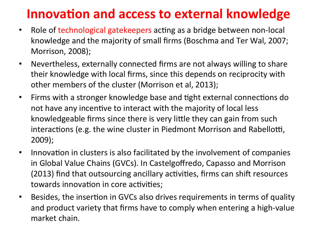#### **Innovation and access to external knowledge**

- Role of technological gatekeepers acting as a bridge between non-local knowledge and the majority of small firms (Boschma and Ter Wal, 2007; Morrison, 2008);
- Nevertheless, externally connected firms are not always willing to share their knowledge with local firms, since this depends on reciprocity with other members of the cluster (Morrison et al, 2013);
- Firms with a stronger knowledge base and tight external connections do not have any incentive to interact with the majority of local less knowledgeable firms since there is very little they can gain from such interactions (e.g. the wine cluster in Piedmont Morrison and Rabellotti, 2009);
- Innovation in clusters is also facilitated by the involvement of companies in Global Value Chains (GVCs). In Castelgoffredo, Capasso and Morrison (2013) find that outsourcing ancillary activities, firms can shift resources towards innovation in core activities;
- Besides, the insertion in GVCs also drives requirements in terms of quality and product variety that firms have to comply when entering a high-value market chain.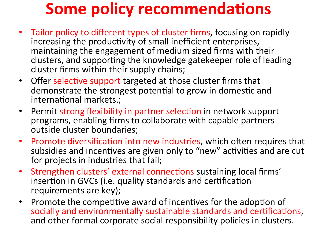## **Some policy recommendations**

- Tailor policy to different types of cluster firms, focusing on rapidly increasing the productivity of small inefficient enterprises, maintaining the engagement of medium sized firms with their clusters, and supporting the knowledge gatekeeper role of leading cluster firms within their supply chains;
- Offer selective support targeted at those cluster firms that demonstrate the strongest potential to grow in domestic and international markets.;
- Permit strong flexibility in partner selection in network support programs, enabling firms to collaborate with capable partners outside cluster boundaries;
- Promote diversification into new industries, which often requires that subsidies and incentives are given only to "new" activities and are cut for projects in industries that fail;
- Strengthen clusters' external connections sustaining local firms' insertion in GVCs (i.e. quality standards and certification requirements are key);
- Promote the competitive award of incentives for the adoption of socially and environmentally sustainable standards and certifications, and other formal corporate social responsibility policies in clusters.